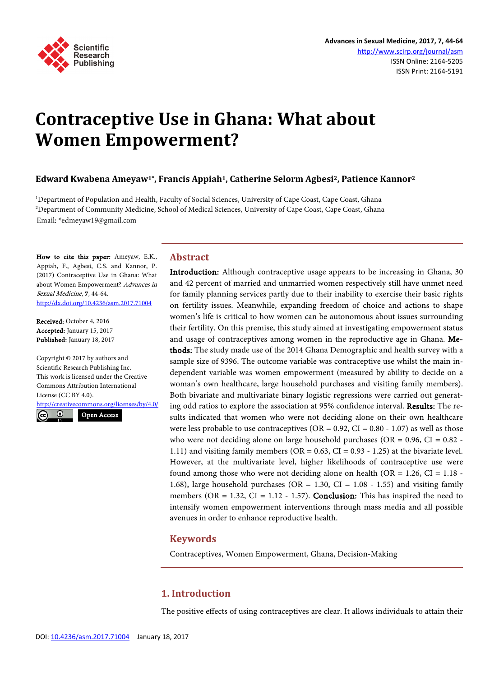

# **Contraceptive Use in Ghana: What about Women Empowerment?**

**Edward Kwabena Ameyaw1\*, Francis Appiah1, Catherine Selorm Agbesi2, Patience Kannor2**

1 Department of Population and Health, Faculty of Social Sciences, University of Cape Coast, Cape Coast, Ghana 2 Department of Community Medicine, School of Medical Sciences, University of Cape Coast, Cape Coast, Ghana Email: \*edmeyaw19@gmail.com

How to cite this paper: Ameyaw, E.K., Appiah, F., Agbesi, C.S. and Kannor, P. (2017) Contraceptive Use in Ghana: What about Women Empowerment? Advances in Sexual Medicine, 7, 44-64. <http://dx.doi.org/10.4236/asm.2017.71004>

Received: October 4, 2016 Accepted: January 15, 2017 Published: January 18, 2017

Copyright © 2017 by authors and Scientific Research Publishing Inc. This work is licensed under the Creative Commons Attribution International License (CC BY 4.0). <http://creativecommons.org/licenses/by/4.0/>

 $\odot$ Open Access

## **Abstract**

Introduction: Although contraceptive usage appears to be increasing in Ghana, 30 and 42 percent of married and unmarried women respectively still have unmet need for family planning services partly due to their inability to exercise their basic rights on fertility issues. Meanwhile, expanding freedom of choice and actions to shape women's life is critical to how women can be autonomous about issues surrounding their fertility. On this premise, this study aimed at investigating empowerment status and usage of contraceptives among women in the reproductive age in Ghana. Methods: The study made use of the 2014 Ghana Demographic and health survey with a sample size of 9396. The outcome variable was contraceptive use whilst the main independent variable was women empowerment (measured by ability to decide on a woman's own healthcare, large household purchases and visiting family members). Both bivariate and multivariate binary logistic regressions were carried out generating odd ratios to explore the association at 95% confidence interval. Results: The results indicated that women who were not deciding alone on their own healthcare were less probable to use contraceptives (OR =  $0.92$ , CI =  $0.80 - 1.07$ ) as well as those who were not deciding alone on large household purchases (OR  $= 0.96$ , CI  $= 0.82$  -1.11) and visiting family members ( $OR = 0.63$ ,  $CI = 0.93 - 1.25$ ) at the bivariate level. However, at the multivariate level, higher likelihoods of contraceptive use were found among those who were not deciding alone on health (OR =  $1.26$ , CI =  $1.18$ ) 1.68), large household purchases (OR = 1.30, CI = 1.08 - 1.55) and visiting family members (OR =  $1.32$ , CI =  $1.12 - 1.57$ ). **Conclusion:** This has inspired the need to intensify women empowerment interventions through mass media and all possible avenues in order to enhance reproductive health.

# **Keywords**

Contraceptives, Women Empowerment, Ghana, Decision-Making

# **1. Introduction**

The positive effects of using contraceptives are clear. It allows individuals to attain their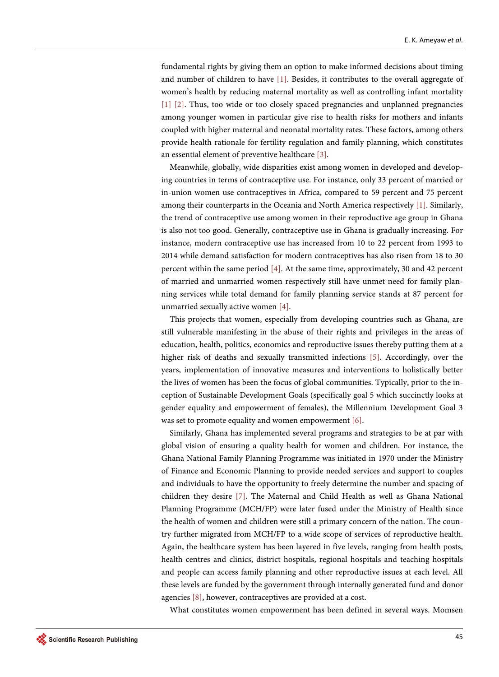fundamental rights by giving them an option to make informed decisions about timing and number of children to have [\[1\].](#page-18-0) Besides, it contributes to the overall aggregate of women's health by reducing maternal mortality as well as controlling infant mortality [\[1\]](#page-18-0) [\[2\].](#page-18-1) Thus, too wide or too closely spaced pregnancies and unplanned pregnancies among younger women in particular give rise to health risks for mothers and infants coupled with higher maternal and neonatal mortality rates. These factors, among others provide health rationale for fertility regulation and family planning, which constitutes an essential element of preventive healthcare [\[3\].](#page-18-2)

Meanwhile, globally, wide disparities exist among women in developed and developing countries in terms of contraceptive use. For instance, only 33 percent of married or in-union women use contraceptives in Africa, compared to 59 percent and 75 percent among their counterparts in the Oceania and North America respectively [\[1\].](#page-18-0) Similarly, the trend of contraceptive use among women in their reproductive age group in Ghana is also not too good. Generally, contraceptive use in Ghana is gradually increasing. For instance, modern contraceptive use has increased from 10 to 22 percent from 1993 to 2014 while demand satisfaction for modern contraceptives has also risen from 18 to 30 percent within the same period [\[4\].](#page-18-3) At the same time, approximately, 30 and 42 percent of married and unmarried women respectively still have unmet need for family planning services while total demand for family planning service stands at 87 percent for unmarried sexually active women [\[4\].](#page-18-3)

This projects that women, especially from developing countries such as Ghana, are still vulnerable manifesting in the abuse of their rights and privileges in the areas of education, health, politics, economics and reproductive issues thereby putting them at a higher risk of deaths and sexually transmitted infections [\[5\].](#page-18-4) Accordingly, over the years, implementation of innovative measures and interventions to holistically better the lives of women has been the focus of global communities. Typically, prior to the inception of Sustainable Development Goals (specifically goal 5 which succinctly looks at gender equality and empowerment of females), the Millennium Development Goal 3 was set to promote equality and women empowerment [\[6\].](#page-18-5)

Similarly, Ghana has implemented several programs and strategies to be at par with global vision of ensuring a quality health for women and children. For instance, the Ghana National Family Planning Programme was initiated in 1970 under the Ministry of Finance and Economic Planning to provide needed services and support to couples and individuals to have the opportunity to freely determine the number and spacing of children they desire [\[7\].](#page-18-6) The Maternal and Child Health as well as Ghana National Planning Programme (MCH/FP) were later fused under the Ministry of Health since the health of women and children were still a primary concern of the nation. The country further migrated from MCH/FP to a wide scope of services of reproductive health. Again, the healthcare system has been layered in five levels, ranging from health posts, health centres and clinics, district hospitals, regional hospitals and teaching hospitals and people can access family planning and other reproductive issues at each level. All these levels are funded by the government through internally generated fund and donor agencies [\[8\],](#page-18-7) however, contraceptives are provided at a cost.

What constitutes women empowerment has been defined in several ways. Momsen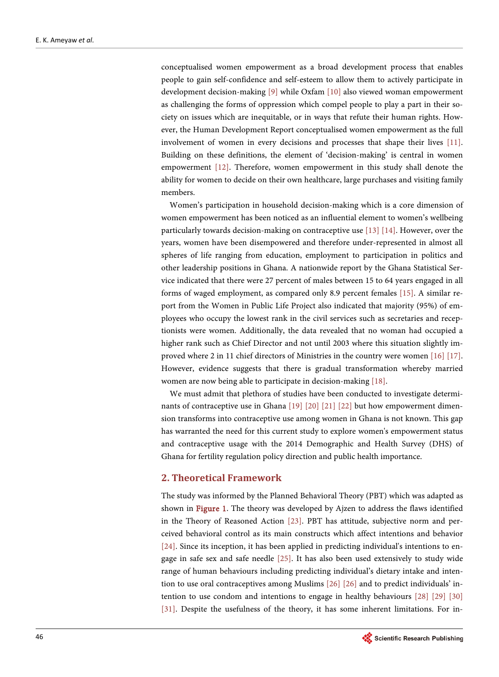conceptualised women empowerment as a broad development process that enables people to gain self-confidence and self-esteem to allow them to actively participate in development decision-making [\[9\]](#page-18-8) while Oxfam [\[10\]](#page-18-9) also viewed woman empowerment as challenging the forms of oppression which compel people to play a part in their society on issues which are inequitable, or in ways that refute their human rights. However, the Human Development Report conceptualised women empowerment as the full involvement of women in every decisions and processes that shape their lives [\[11\].](#page-18-10)  Building on these definitions, the element of 'decision-making' is central in women empowerment [\[12\].](#page-18-11) Therefore, women empowerment in this study shall denote the ability for women to decide on their own healthcare, large purchases and visiting family members.

Women's participation in household decision-making which is a core dimension of women empowerment has been noticed as an influential element to women's wellbeing particularly towards decision-making on contraceptive use [\[13\]](#page-18-12) [\[14\].](#page-18-13) However, over the years, women have been disempowered and therefore under-represented in almost all spheres of life ranging from education, employment to participation in politics and other leadership positions in Ghana. A nationwide report by the Ghana Statistical Service indicated that there were 27 percent of males between 15 to 64 years engaged in all forms of waged employment, as compared only 8.9 percent females [\[15\].](#page-18-14) A similar report from the Women in Public Life Project also indicated that majority (95%) of employees who occupy the lowest rank in the civil services such as secretaries and receptionists were women. Additionally, the data revealed that no woman had occupied a higher rank such as Chief Director and not until 2003 where this situation slightly improved where 2 in 11 chief directors of Ministries in the country were women [\[16\]](#page-18-15) [\[17\].](#page-18-16)  However, evidence suggests that there is gradual transformation whereby married women are now being able to participate in decision-making [\[18\].](#page-19-0) 

We must admit that plethora of studies have been conducted to investigate determinants of contraceptive use in Ghana [\[19\]](#page-19-1) [\[20\]](#page-19-2) [\[21\]](#page-19-3) [\[22\]](#page-19-4) but how empowerment dimension transforms into contraceptive use among women in Ghana is not known. This gap has warranted the need for this current study to explore women's empowerment status and contraceptive usage with the 2014 Demographic and Health Survey (DHS) of Ghana for fertility regulation policy direction and public health importance.

## **2. Theoretical Framework**

The study was informed by the Planned Behavioral Theory (PBT) which was adapted as shown in [Figure 1.](#page-3-0) The theory was developed by Ajzen to address the flaws identified in the Theory of Reasoned Action [\[23\].](#page-19-5) PBT has attitude, subjective norm and perceived behavioral control as its main constructs which affect intentions and behavior [\[24\].](#page-19-6) Since its inception, it has been applied in predicting individual's intentions to engage in safe sex and safe needle [\[25\].](#page-19-7) It has also been used extensively to study wide range of human behaviours including predicting individual's dietary intake and intention to use oral contraceptives among Muslims [\[26\]](#page-19-8) [\[26\]](#page-19-8) and to predict individuals' intention to use condom and intentions to engage in healthy behaviours [\[28\]](#page-19-9) [\[29\]](#page-19-10) [\[30\]](#page-19-11) [\[31\].](#page-19-12) Despite the usefulness of the theory, it has some inherent limitations. For in-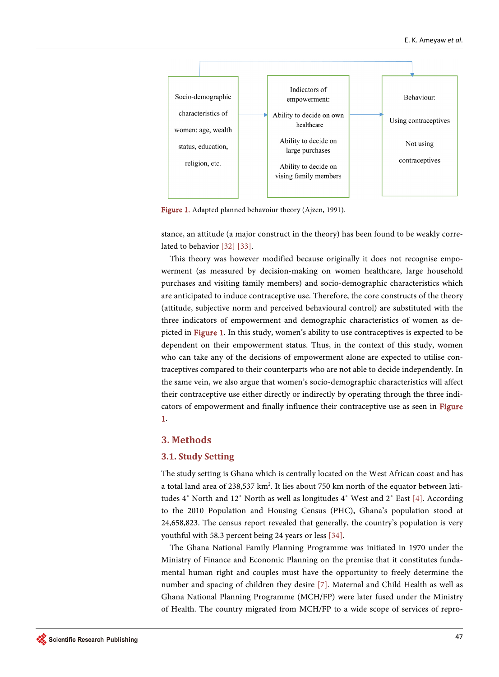<span id="page-3-0"></span>

Figure 1. Adapted planned behavoiur theory (Ajzen, 1991).

stance, an attitude (a major construct in the theory) has been found to be weakly correlated to behavior [\[32\]](#page-19-13) [\[33\].](#page-19-14)

This theory was however modified because originally it does not recognise empowerment (as measured by decision-making on women healthcare, large household purchases and visiting family members) and socio-demographic characteristics which are anticipated to induce contraceptive use. Therefore, the core constructs of the theory (attitude, subjective norm and perceived behavioural control) are substituted with the three indicators of empowerment and demographic characteristics of women as depicted in [Figure 1.](#page-3-0) In this study, women's ability to use contraceptives is expected to be dependent on their empowerment status. Thus, in the context of this study, women who can take any of the decisions of empowerment alone are expected to utilise contraceptives compared to their counterparts who are not able to decide independently. In the same vein, we also argue that women's socio-demographic characteristics will affect their contraceptive use either directly or indirectly by operating through the three indicators of empowerment and finally influence their contraceptive use as seen in [Figure](#page-3-0)  [1.](#page-3-0)

## **3. Methods**

#### **3.1. Study Setting**

The study setting is Ghana which is centrally located on the West African coast and has a total land area of 238,537 km². It lies about 750 km north of the equator between latitudes 4˚ North and 12˚ North as well as longitudes 4˚ West and 2˚ East [\[4\].](#page-18-3) According to the 2010 Population and Housing Census (PHC), Ghana's population stood at 24,658,823. The census report revealed that generally, the country's population is very youthful with 58.3 percent being 24 years or less [\[34\].](#page-19-15)

The Ghana National Family Planning Programme was initiated in 1970 under the Ministry of Finance and Economic Planning on the premise that it constitutes fundamental human right and couples must have the opportunity to freely determine the number and spacing of children they desire [\[7\].](#page-18-6) Maternal and Child Health as well as Ghana National Planning Programme (MCH/FP) were later fused under the Ministry of Health. The country migrated from MCH/FP to a wide scope of services of repro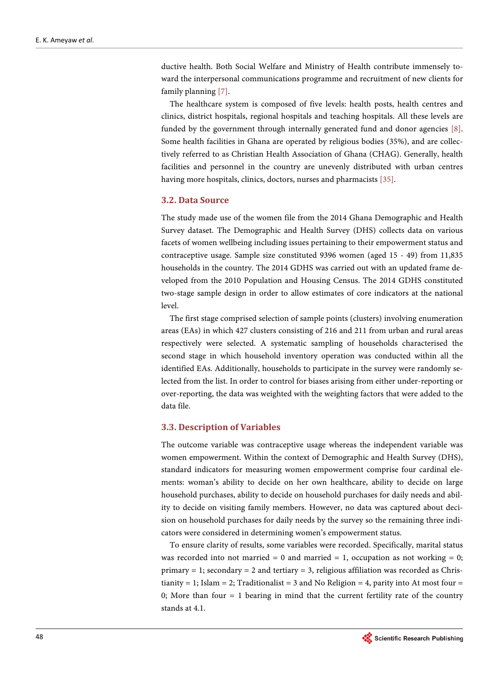ductive health. Both Social Welfare and Ministry of Health contribute immensely toward the interpersonal communications programme and recruitment of new clients for family planning [\[7\].](#page-18-6)

The healthcare system is composed of five levels: health posts, health centres and clinics, district hospitals, regional hospitals and teaching hospitals. All these levels are funded by the government through internally generated fund and donor agencies [\[8\].](#page-18-7)  Some health facilities in Ghana are operated by religious bodies (35%), and are collectively referred to as Christian Health Association of Ghana (CHAG). Generally, health facilities and personnel in the country are unevenly distributed with urban centres having more hospitals, clinics, doctors, nurses and pharmacists [\[35\].](#page-19-16)

#### **3.2. Data Source**

The study made use of the women file from the 2014 Ghana Demographic and Health Survey dataset. The Demographic and Health Survey (DHS) collects data on various facets of women wellbeing including issues pertaining to their empowerment status and contraceptive usage. Sample size constituted 9396 women (aged 15 - 49) from 11,835 households in the country. The 2014 GDHS was carried out with an updated frame developed from the 2010 Population and Housing Census. The 2014 GDHS constituted two-stage sample design in order to allow estimates of core indicators at the national level.

The first stage comprised selection of sample points (clusters) involving enumeration areas (EAs) in which 427 clusters consisting of 216 and 211 from urban and rural areas respectively were selected. A systematic sampling of households characterised the second stage in which household inventory operation was conducted within all the identified EAs. Additionally, households to participate in the survey were randomly selected from the list. In order to control for biases arising from either under-reporting or over-reporting, the data was weighted with the weighting factors that were added to the data file.

#### **3.3. Description of Variables**

The outcome variable was contraceptive usage whereas the independent variable was women empowerment. Within the context of Demographic and Health Survey (DHS), standard indicators for measuring women empowerment comprise four cardinal elements: woman's ability to decide on her own healthcare, ability to decide on large household purchases, ability to decide on household purchases for daily needs and ability to decide on visiting family members. However, no data was captured about decision on household purchases for daily needs by the survey so the remaining three indicators were considered in determining women's empowerment status.

To ensure clarity of results, some variables were recorded. Specifically, marital status was recorded into not married = 0 and married = 1, occupation as not working = 0; primary  $= 1$ ; secondary  $= 2$  and tertiary  $= 3$ , religious affiliation was recorded as Christianity = 1; Islam = 2; Traditionalist = 3 and No Religion = 4, parity into At most four = 0; More than four  $= 1$  bearing in mind that the current fertility rate of the country stands at 4.1.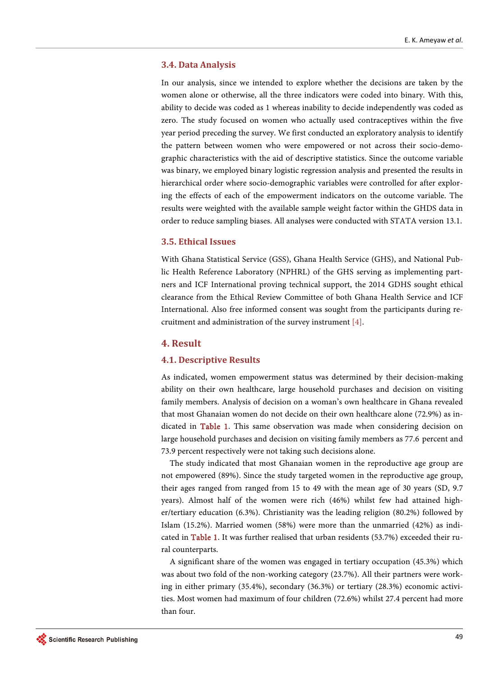#### **3.4. Data Analysis**

In our analysis, since we intended to explore whether the decisions are taken by the women alone or otherwise, all the three indicators were coded into binary. With this, ability to decide was coded as 1 whereas inability to decide independently was coded as zero. The study focused on women who actually used contraceptives within the five year period preceding the survey. We first conducted an exploratory analysis to identify the pattern between women who were empowered or not across their socio-demographic characteristics with the aid of descriptive statistics. Since the outcome variable was binary, we employed binary logistic regression analysis and presented the results in hierarchical order where socio-demographic variables were controlled for after exploring the effects of each of the empowerment indicators on the outcome variable. The results were weighted with the available sample weight factor within the GHDS data in order to reduce sampling biases. All analyses were conducted with STATA version 13.1.

## **3.5. Ethical Issues**

With Ghana Statistical Service (GSS), Ghana Health Service (GHS), and National Public Health Reference Laboratory (NPHRL) of the GHS serving as implementing partners and ICF International proving technical support, the 2014 GDHS sought ethical clearance from the Ethical Review Committee of both Ghana Health Service and ICF International. Also free informed consent was sought from the participants during recruitment and administration of the survey instrument [\[4\].](#page-18-3) 

#### **4. Result**

#### **4.1. Descriptive Results**

As indicated, women empowerment status was determined by their decision-making ability on their own healthcare, large household purchases and decision on visiting family members. Analysis of decision on a woman's own healthcare in Ghana revealed that most Ghanaian women do not decide on their own healthcare alone (72.9%) as indicated in [Table 1.](#page-6-0) This same observation was made when considering decision on large household purchases and decision on visiting family members as 77.6 percent and 73.9 percent respectively were not taking such decisions alone.

The study indicated that most Ghanaian women in the reproductive age group are not empowered (89%). Since the study targeted women in the reproductive age group, their ages ranged from ranged from 15 to 49 with the mean age of 30 years (SD, 9.7 years). Almost half of the women were rich (46%) whilst few had attained higher/tertiary education (6.3%). Christianity was the leading religion (80.2%) followed by Islam (15.2%). Married women (58%) were more than the unmarried (42%) as indicated in [Table 1.](#page-6-0) It was further realised that urban residents (53.7%) exceeded their rural counterparts.

A significant share of the women was engaged in tertiary occupation (45.3%) which was about two fold of the non-working category (23.7%). All their partners were working in either primary (35.4%), secondary (36.3%) or tertiary (28.3%) economic activities. Most women had maximum of four children (72.6%) whilst 27.4 percent had more than four.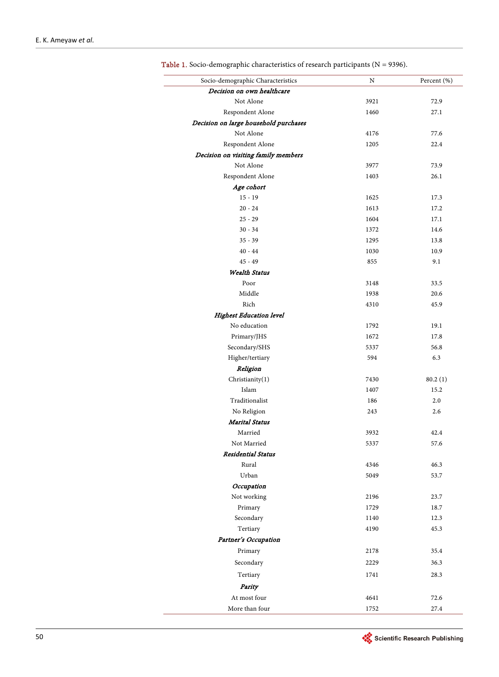$\overline{\phantom{a}}$  $\frac{1}{2}$ 

| Socio-demographic Characteristics     | N    | Percent (%) |
|---------------------------------------|------|-------------|
| Decision on own healthcare            |      |             |
| Not Alone                             | 3921 | 72.9        |
| Respondent Alone                      | 1460 | 27.1        |
| Decision on large household purchases |      |             |
| Not Alone                             | 4176 | 77.6        |
| Respondent Alone                      | 1205 | 22.4        |
| Decision on visiting family members   |      |             |
| Not Alone                             | 3977 | 73.9        |
| Respondent Alone                      | 1403 | 26.1        |
| Age cohort                            |      |             |
| $15 - 19$                             | 1625 | 17.3        |
| $20 - 24$                             | 1613 | 17.2        |
| $25 - 29$                             | 1604 | 17.1        |
| $30 - 34$                             | 1372 | 14.6        |
| $35 - 39$                             | 1295 | 13.8        |
| $40 - 44$                             | 1030 | 10.9        |
| $45 - 49$                             | 855  | 9.1         |
| <b>Wealth Status</b>                  |      |             |
| Poor                                  | 3148 | 33.5        |
| Middle                                | 1938 | 20.6        |
| Rich                                  | 4310 | 45.9        |
| <b>Highest Education level</b>        |      |             |
| No education                          | 1792 | 19.1        |
| Primary/JHS                           | 1672 | 17.8        |
| Secondary/SHS                         | 5337 | 56.8        |
| Higher/tertiary                       | 594  | 6.3         |
| Religion                              |      |             |
| Christianity(1)                       | 7430 | 80.2(1)     |
| Islam                                 | 1407 | 15.2        |
| Traditionalist                        | 186  | 2.0         |
| No Religion                           | 243  | 2.6         |
| <b>Marital Status</b>                 |      |             |
| Married                               | 3932 | 42.4        |
| Not Married                           | 5337 | 57.6        |
| <b>Residential Status</b>             |      |             |
| Rural                                 | 4346 | 46.3        |
| Urban                                 | 5049 | 53.7        |
| Occupation                            |      |             |
| Not working                           | 2196 | 23.7        |
| Primary                               | 1729 | 18.7        |
| Secondary                             | 1140 | 12.3        |
| Tertiary                              | 4190 | 45.3        |
| Partner's Occupation                  |      |             |
| Primary                               | 2178 | 35.4        |
| Secondary                             | 2229 | 36.3        |
|                                       |      |             |
| Tertiary                              | 1741 | 28.3        |
| Parity                                |      |             |
| At most four                          | 4641 | 72.6        |
| More than four                        | 1752 | 27.4        |

<span id="page-6-0"></span>Table 1. Socio-demographic characteristics of research participants ( $N = 9396$ ).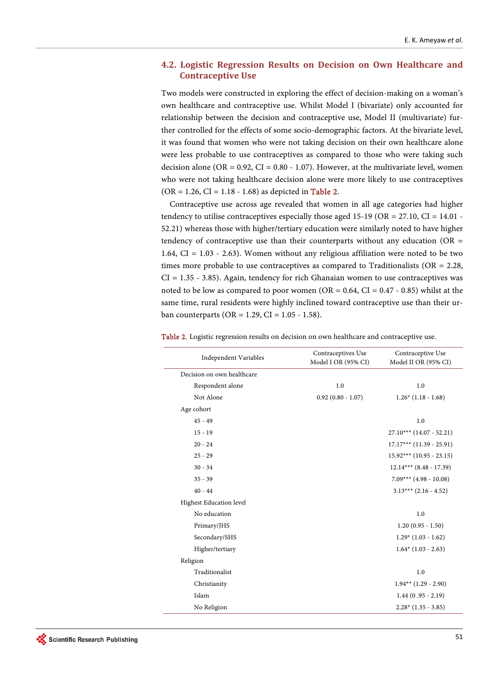## **4.2. Logistic Regression Results on Decision on Own Healthcare and Contraceptive Use**

Two models were constructed in exploring the effect of decision-making on a woman's own healthcare and contraceptive use. Whilst Model I (bivariate) only accounted for relationship between the decision and contraceptive use, Model II (multivariate) further controlled for the effects of some socio-demographic factors. At the bivariate level, it was found that women who were not taking decision on their own healthcare alone were less probable to use contraceptives as compared to those who were taking such decision alone (OR =  $0.92$ , CI =  $0.80 - 1.07$ ). However, at the multivariate level, women who were not taking healthcare decision alone were more likely to use contraceptives  $(OR = 1.26, CI = 1.18 - 1.68)$  as depicted in [Table 2.](#page-7-0)

Contraceptive use across age revealed that women in all age categories had higher tendency to utilise contraceptives especially those aged 15-19 ( $OR = 27.10$ ,  $CI = 14.01$ . 52.21) whereas those with higher/tertiary education were similarly noted to have higher tendency of contraceptive use than their counterparts without any education ( $OR =$ 1.64, CI = 1.03 - 2.63). Women without any religious affiliation were noted to be two times more probable to use contraceptives as compared to Traditionalists ( $OR = 2.28$ , CI = 1.35 - 3.85). Again, tendency for rich Ghanaian women to use contraceptives was noted to be low as compared to poor women (OR =  $0.64$ , CI =  $0.47 - 0.85$ ) whilst at the same time, rural residents were highly inclined toward contraceptive use than their urban counterparts ( $OR = 1.29$ ,  $CI = 1.05 - 1.58$ ).

| <b>Independent Variables</b> | Contraceptives Use<br>Model I OR (95% CI) | Contraceptive Use<br>Model II OR (95% CI) |
|------------------------------|-------------------------------------------|-------------------------------------------|
| Decision on own healthcare   |                                           |                                           |
| Respondent alone             | 1.0                                       | 1.0                                       |
| Not Alone                    | $0.92(0.80 - 1.07)$                       | $1.26*(1.18 - 1.68)$                      |
| Age cohort                   |                                           |                                           |
| $45 - 49$                    |                                           | 1.0                                       |
| $15 - 19$                    |                                           | $27.10***$ (14.07 - 52.21)                |
| $20 - 24$                    |                                           | $17.17***$ (11.39 - 25.91)                |
| $25 - 29$                    |                                           | $15.92***$ (10.95 - 23.15)                |
| $30 - 34$                    |                                           | $12.14***$ (8.48 - 17.39)                 |
| $35 - 39$                    |                                           | $7.09***$ (4.98 - 10.08)                  |
| $40 - 44$                    |                                           | $3.13***$ (2.16 - 4.52)                   |
| Highest Education level      |                                           |                                           |
| No education                 |                                           | 1.0                                       |
| Primary/JHS                  |                                           | $1.20(0.95 - 1.50)$                       |
| Secondary/SHS                |                                           | $1.29*(1.03 - 1.62)$                      |
| Higher/tertiary              |                                           | $1.64*$ (1.03 - 2.63)                     |
| Religion                     |                                           |                                           |
| Traditionalist               |                                           | 1.0                                       |
| Christianity                 |                                           | $1.94**$ (1.29 - 2.90)                    |
| Islam                        |                                           | $1.44(0.95 - 2.19)$                       |
| No Religion                  |                                           | $2.28*(1.35 - 3.85)$                      |

<span id="page-7-0"></span>Table 2. Logistic regression results on decision on own healthcare and contraceptive use.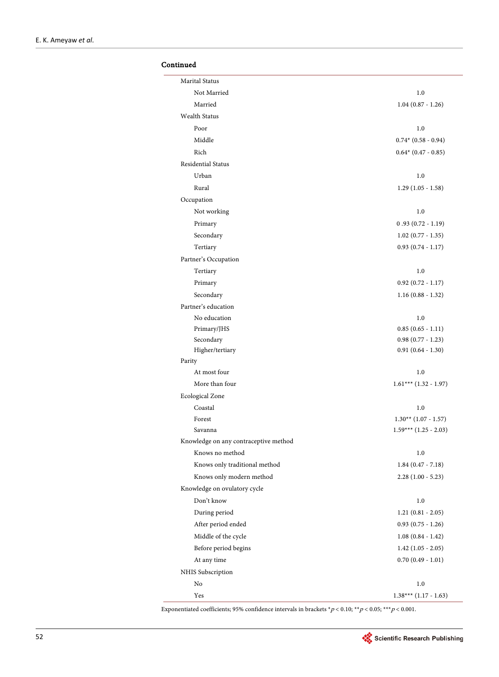## Continued

| Marital Status                        |                           |
|---------------------------------------|---------------------------|
| Not Married                           | 1.0                       |
| Married                               | $1.04$ $(0.87 - 1.26)$    |
| <b>Wealth Status</b>                  |                           |
| Poor                                  | 1.0                       |
| Middle                                | $0.74*$ (0.58 - 0.94)     |
| Rich                                  | $0.64*$ (0.47 - 0.85)     |
| Residential Status                    |                           |
| Urban                                 | 1.0                       |
| Rural                                 | $1.29(1.05 - 1.58)$       |
| Occupation                            |                           |
| Not working                           | 1.0                       |
| Primary                               | $0.93(0.72 - 1.19)$       |
| Secondary                             | $1.02$ (0.77 - 1.35)      |
| Tertiary                              | $0.93(0.74 - 1.17)$       |
| Partner's Occupation                  |                           |
| Tertiary                              | 1.0                       |
| Primary                               | $0.92(0.72 - 1.17)$       |
| Secondary                             | $1.16(0.88 - 1.32)$       |
| Partner's education                   |                           |
| No education                          | 1.0                       |
| Primary/JHS                           | $0.85(0.65 - 1.11)$       |
| Secondary                             | $0.98$ $(0.77 - 1.23)$    |
| Higher/tertiary                       | $0.91(0.64 - 1.30)$       |
| Parity                                |                           |
| At most four                          | 1.0                       |
| More than four                        | $1.61***$ (1.32 - 1.97)   |
| <b>Ecological Zone</b>                |                           |
| Coastal                               | 1.0                       |
| Forest                                | $1.30**$ (1.07 - 1.57)    |
| Savanna                               | $1.59***$ $(1.25 - 2.03)$ |
| Knowledge on any contraceptive method |                           |
| Knows no method                       | 1.0                       |
| Knows only traditional method         | $1.84(0.47 - 7.18)$       |
| Knows only modern method              | $2.28(1.00 - 5.23)$       |
| Knowledge on ovulatory cycle          |                           |
| Don't know                            | 1.0                       |
| During period                         | $1.21(0.81 - 2.05)$       |
| After period ended                    | $0.93(0.75 - 1.26)$       |
| Middle of the cycle                   | $1.08(0.84 - 1.42)$       |
| Before period begins                  | $1.42(1.05 - 2.05)$       |
| At any time                           | $0.70(0.49 - 1.01)$       |
| NHIS Subscription                     |                           |
| No                                    | 1.0                       |
| Yes                                   | $1.38***$ (1.17 - 1.63)   |

Exponentiated coefficients; 95% confidence intervals in brackets  $^{\star}p$  < 0.10;  $^{\star\star}p$  < 0.05;  $^{\star\star\star}p$  < 0.001.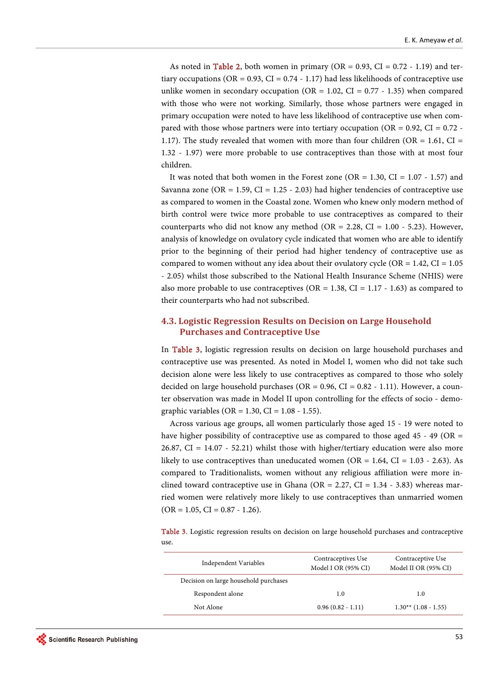As noted in [Table 2,](#page-7-0) both women in primary (OR =  $0.93$ , CI =  $0.72 - 1.19$ ) and tertiary occupations (OR =  $0.93$ , CI =  $0.74 - 1.17$ ) had less likelihoods of contraceptive use unlike women in secondary occupation (OR =  $1.02$ , CI = 0.77 - 1.35) when compared with those who were not working. Similarly, those whose partners were engaged in primary occupation were noted to have less likelihood of contraceptive use when compared with those whose partners were into tertiary occupation ( $OR = 0.92$ ,  $CI = 0.72$ . 1.17). The study revealed that women with more than four children (OR = 1.61, CI = 1.32 - 1.97) were more probable to use contraceptives than those with at most four children.

It was noted that both women in the Forest zone ( $OR = 1.30$ ,  $CI = 1.07 - 1.57$ ) and Savanna zone (OR = 1.59, CI = 1.25 - 2.03) had higher tendencies of contraceptive use as compared to women in the Coastal zone. Women who knew only modern method of birth control were twice more probable to use contraceptives as compared to their counterparts who did not know any method (OR = 2.28, CI =  $1.00 - 5.23$ ). However, analysis of knowledge on ovulatory cycle indicated that women who are able to identify prior to the beginning of their period had higher tendency of contraceptive use as compared to women without any idea about their ovulatory cycle (OR =  $1.42$ , CI =  $1.05$ ) - 2.05) whilst those subscribed to the National Health Insurance Scheme (NHIS) were also more probable to use contraceptives ( $OR = 1.38$ ,  $CI = 1.17 - 1.63$ ) as compared to their counterparts who had not subscribed.

## **4.3. Logistic Regression Results on Decision on Large Household Purchases and Contraceptive Use**

In [Table 3,](#page-9-0) logistic regression results on decision on large household purchases and contraceptive use was presented. As noted in Model I, women who did not take such decision alone were less likely to use contraceptives as compared to those who solely decided on large household purchases ( $OR = 0.96$ ,  $CI = 0.82 - 1.11$ ). However, a counter observation was made in Model II upon controlling for the effects of socio - demographic variables (OR =  $1.30$ , CI =  $1.08 - 1.55$ ).

Across various age groups, all women particularly those aged 15 - 19 were noted to have higher possibility of contraceptive use as compared to those aged 45 - 49 (OR  $=$ 26.87, CI = 14.07 - 52.21) whilst those with higher/tertiary education were also more likely to use contraceptives than uneducated women (OR =  $1.64$ , CI =  $1.03 - 2.63$ ). As compared to Traditionalists, women without any religious affiliation were more inclined toward contraceptive use in Ghana (OR =  $2.27$ , CI =  $1.34 - 3.83$ ) whereas married women were relatively more likely to use contraceptives than unmarried women  $(OR = 1.05, CI = 0.87 - 1.26).$ 

<span id="page-9-0"></span>Table 3. Logistic regression results on decision on large household purchases and contraceptive use.

| Independent Variables                 | Contraceptives Use<br>Model I OR (95% CI) | Contraceptive Use<br>Model II OR (95% CI) |
|---------------------------------------|-------------------------------------------|-------------------------------------------|
| Decision on large household purchases |                                           |                                           |
| Respondent alone                      | 1.0                                       | 1.0                                       |
| Not Alone                             | $0.96(0.82 - 1.11)$                       | $1.30**$ (1.08 - 1.55)                    |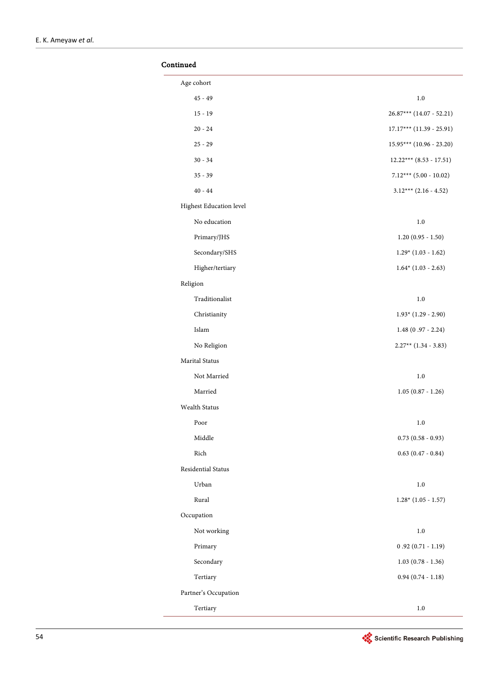| Continued               |                            |
|-------------------------|----------------------------|
| Age cohort              |                            |
| $45 - 49$               | 1.0                        |
| $15 - 19$               | 26.87*** (14.07 - 52.21)   |
| $20 - 24$               | $17.17***$ (11.39 - 25.91) |
| $25 - 29$               | $15.95***$ (10.96 - 23.20) |
| $30 - 34$               | $12.22***$ (8.53 - 17.51)  |
| $35 - 39$               | $7.12***$ (5.00 - 10.02)   |
| $40 - 44$               | $3.12***$ (2.16 - 4.52)    |
| Highest Education level |                            |
| No education            | 1.0                        |
| Primary/JHS             | $1.20(0.95 - 1.50)$        |
| Secondary/SHS           | $1.29*(1.03 - 1.62)$       |
| Higher/tertiary         | $1.64*$ (1.03 - 2.63)      |
| Religion                |                            |
| Traditionalist          | 1.0                        |
| Christianity            | $1.93*$ (1.29 - 2.90)      |
| Islam                   | $1.48(0.97 - 2.24)$        |
| No Religion             | $2.27**$ (1.34 - 3.83)     |
| Marital Status          |                            |
| Not Married             | 1.0                        |
| Married                 | $1.05(0.87 - 1.26)$        |
| Wealth Status           |                            |
| Poor                    | 1.0                        |
| Middle                  | $0.73$ $(0.58 - 0.93)$     |
| Rich                    | $0.63$ $(0.47 - 0.84)$     |
| Residential Status      |                            |
| Urban                   | $1.0\,$                    |
| Rural                   | $1.28*(1.05 - 1.57)$       |
| Occupation              |                            |
| Not working             | $1.0\,$                    |
| Primary                 | $0.92(0.71 - 1.19)$        |
| Secondary               | $1.03(0.78 - 1.36)$        |
| Tertiary                | $0.94$ $(0.74 - 1.18)$     |
| Partner's Occupation    |                            |
| Tertiary                | 1.0                        |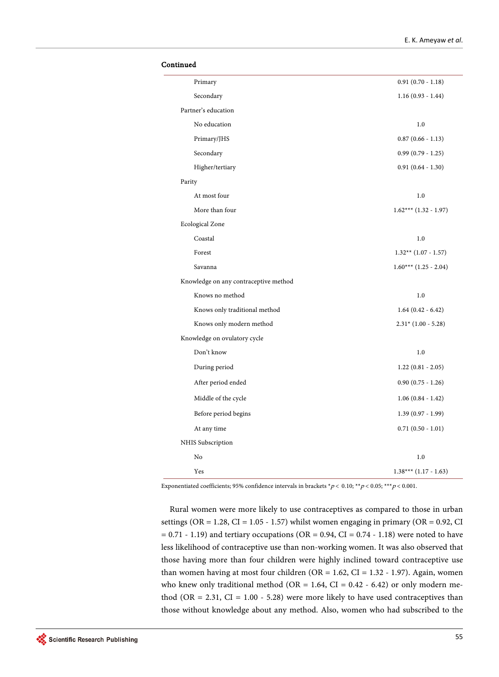| Continued                             |                         |
|---------------------------------------|-------------------------|
| Primary                               | $0.91(0.70 - 1.18)$     |
| Secondary                             | $1.16(0.93 - 1.44)$     |
| Partner's education                   |                         |
| No education                          | 1.0                     |
| Primary/JHS                           | $0.87$ $(0.66 - 1.13)$  |
| Secondary                             | $0.99(0.79 - 1.25)$     |
| Higher/tertiary                       | $0.91(0.64 - 1.30)$     |
| Parity                                |                         |
| At most four                          | 1.0                     |
| More than four                        | $1.62***$ (1.32 - 1.97) |
| <b>Ecological Zone</b>                |                         |
| Coastal                               | 1.0                     |
| Forest                                | $1.32**$ (1.07 - 1.57)  |
| Savanna                               | $1.60***$ (1.25 - 2.04) |
| Knowledge on any contraceptive method |                         |
| Knows no method                       | 1.0                     |
| Knows only traditional method         | $1.64(0.42 - 6.42)$     |
| Knows only modern method              | $2.31*(1.00 - 5.28)$    |
| Knowledge on ovulatory cycle          |                         |
| Don't know                            | 1.0                     |
| During period                         | $1.22(0.81 - 2.05)$     |
| After period ended                    | $0.90(0.75 - 1.26)$     |
| Middle of the cycle                   | $1.06(0.84 - 1.42)$     |
| Before period begins                  | $1.39(0.97 - 1.99)$     |
| At any time                           | $0.71(0.50 - 1.01)$     |
| NHIS Subscription                     |                         |
| No                                    | 1.0                     |
| Yes                                   | $1.38***(1.17-1.63)$    |

Exponentiated coefficients; 95% confidence intervals in brackets  $*p < 0.10; **p < 0.05; **p < 0.001$ .

Rural women were more likely to use contraceptives as compared to those in urban settings (OR =  $1.28$ , CI =  $1.05 - 1.57$ ) whilst women engaging in primary (OR = 0.92, CI  $= 0.71 - 1.19$ ) and tertiary occupations (OR = 0.94, CI = 0.74 - 1.18) were noted to have less likelihood of contraceptive use than non-working women. It was also observed that those having more than four children were highly inclined toward contraceptive use than women having at most four children (OR =  $1.62$ , CI =  $1.32 - 1.97$ ). Again, women who knew only traditional method (OR = 1.64, CI = 0.42 - 6.42) or only modern method (OR = 2.31, CI =  $1.00 - 5.28$ ) were more likely to have used contraceptives than those without knowledge about any method. Also, women who had subscribed to the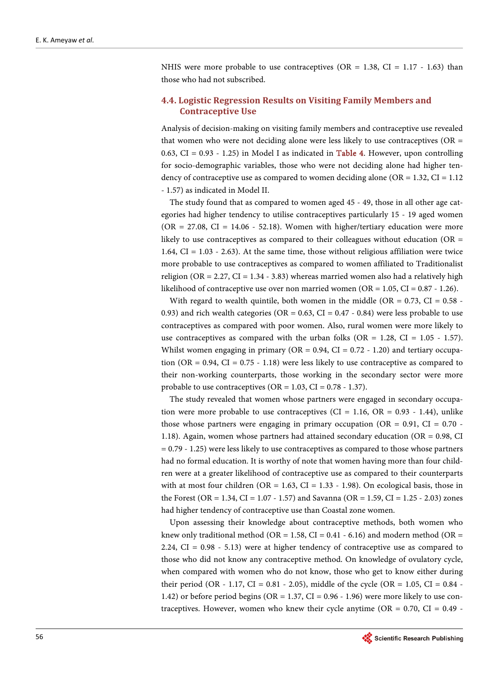NHIS were more probable to use contraceptives (OR = 1.38, CI = 1.17 - 1.63) than those who had not subscribed.

## **4.4. Logistic Regression Results on Visiting Family Members and Contraceptive Use**

Analysis of decision-making on visiting family members and contraceptive use revealed that women who were not deciding alone were less likely to use contraceptives ( $OR =$ 0.63, CI = 0.93 - 1.25) in Model I as indicated in **Table 4**. However, upon controlling for socio-demographic variables, those who were not deciding alone had higher tendency of contraceptive use as compared to women deciding alone ( $OR = 1.32$ ,  $CI = 1.12$ ) - 1.57) as indicated in Model II.

The study found that as compared to women aged 45 - 49, those in all other age categories had higher tendency to utilise contraceptives particularly 15 - 19 aged women  $(OR = 27.08, CI = 14.06 - 52.18)$ . Women with higher/tertiary education were more likely to use contraceptives as compared to their colleagues without education ( $OR =$ 1.64,  $CI = 1.03 - 2.63$ . At the same time, those without religious affiliation were twice more probable to use contraceptives as compared to women affiliated to Traditionalist religion ( $OR = 2.27$ ,  $CI = 1.34 - 3.83$ ) whereas married women also had a relatively high likelihood of contraceptive use over non married women (OR =  $1.05$ , CI =  $0.87 - 1.26$ ).

With regard to wealth quintile, both women in the middle (OR =  $0.73$ , CI =  $0.58$  -0.93) and rich wealth categories ( $OR = 0.63$ ,  $CI = 0.47 - 0.84$ ) were less probable to use contraceptives as compared with poor women. Also, rural women were more likely to use contraceptives as compared with the urban folks (OR =  $1.28$ , CI =  $1.05 - 1.57$ ). Whilst women engaging in primary (OR =  $0.94$ , CI =  $0.72 - 1.20$ ) and tertiary occupation (OR =  $0.94$ , CI =  $0.75 - 1.18$ ) were less likely to use contraceptive as compared to their non-working counterparts, those working in the secondary sector were more probable to use contraceptives ( $OR = 1.03$ ,  $CI = 0.78 - 1.37$ ).

The study revealed that women whose partners were engaged in secondary occupation were more probable to use contraceptives (CI = 1.16, OR =  $0.93 - 1.44$ ), unlike those whose partners were engaging in primary occupation ( $OR = 0.91$ ,  $CI = 0.70$ .) 1.18). Again, women whose partners had attained secondary education (OR = 0.98, CI = 0.79 - 1.25) were less likely to use contraceptives as compared to those whose partners had no formal education. It is worthy of note that women having more than four children were at a greater likelihood of contraceptive use as compared to their counterparts with at most four children (OR =  $1.63$ , CI =  $1.33 - 1.98$ ). On ecological basis, those in the Forest (OR = 1.34, CI = 1.07 - 1.57) and Savanna (OR = 1.59, CI = 1.25 - 2.03) zones had higher tendency of contraceptive use than Coastal zone women.

Upon assessing their knowledge about contraceptive methods, both women who knew only traditional method (OR = 1.58, CI =  $0.41 - 6.16$ ) and modern method (OR = 2.24, CI = 0.98 - 5.13) were at higher tendency of contraceptive use as compared to those who did not know any contraceptive method. On knowledge of ovulatory cycle, when compared with women who do not know, those who get to know either during their period (OR - 1.17, CI = 0.81 - 2.05), middle of the cycle (OR = 1.05, CI =  $0.84$  -1.42) or before period begins ( $OR = 1.37$ ,  $CI = 0.96 - 1.96$ ) were more likely to use contraceptives. However, women who knew their cycle anytime ( $OR = 0.70$ ,  $CI = 0.49$ .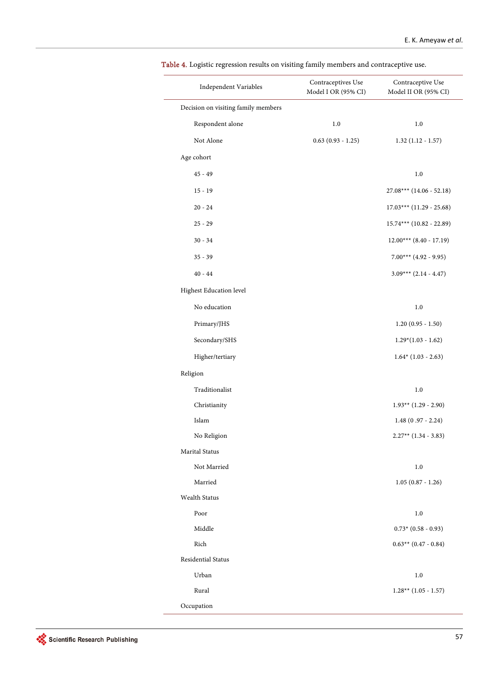| Independent Variables               | Contraceptives Use<br>Model I OR (95% CI) | Contraceptive Use<br>Model II OR (95% CI) |
|-------------------------------------|-------------------------------------------|-------------------------------------------|
| Decision on visiting family members |                                           |                                           |
| Respondent alone                    | 1.0                                       | 1.0                                       |
| Not Alone                           | $0.63(0.93 - 1.25)$                       | $1.32(1.12 - 1.57)$                       |
| Age cohort                          |                                           |                                           |
| $45 - 49$                           |                                           | 1.0                                       |
| $15 - 19$                           |                                           | $27.08***$ (14.06 - 52.18)                |
| $20 - 24$                           |                                           | $17.03***$ (11.29 - 25.68)                |
| $25 - 29$                           |                                           | $15.74***$ (10.82 - 22.89)                |
| $30 - 34$                           |                                           | $12.00***$ (8.40 - 17.19)                 |
| $35 - 39$                           |                                           | $7.00***$ (4.92 - 9.95)                   |
| $40 - 44$                           |                                           | $3.09***$ (2.14 - 4.47)                   |
| Highest Education level             |                                           |                                           |
| No education                        |                                           | 1.0                                       |
| Primary/JHS                         |                                           | $1.20(0.95 - 1.50)$                       |
| Secondary/SHS                       |                                           | $1.29*(1.03 - 1.62)$                      |
| Higher/tertiary                     |                                           | $1.64*$ (1.03 - 2.63)                     |
| Religion                            |                                           |                                           |
| Traditionalist                      |                                           | 1.0                                       |
| Christianity                        |                                           | $1.93**$ (1.29 - 2.90)                    |
| Islam                               |                                           | $1.48(0.97 - 2.24)$                       |
| No Religion                         |                                           | $2.27**$ (1.34 - 3.83)                    |
| Marital Status                      |                                           |                                           |
| Not Married                         |                                           | 1.0                                       |
| Married                             |                                           | $1.05(0.87 - 1.26)$                       |
| Wealth Status                       |                                           |                                           |
| Poor                                |                                           | 1.0                                       |
| Middle                              |                                           | $0.73*$ (0.58 - 0.93)                     |
| Rich                                |                                           | $0.63**$ (0.47 - 0.84)                    |
| Residential Status                  |                                           |                                           |
| Urban                               |                                           | 1.0                                       |
| Rural                               |                                           | $1.28**$ (1.05 - 1.57)                    |
| Occupation                          |                                           |                                           |

<span id="page-13-0"></span>Table 4. Logistic regression results on visiting family members and contraceptive use.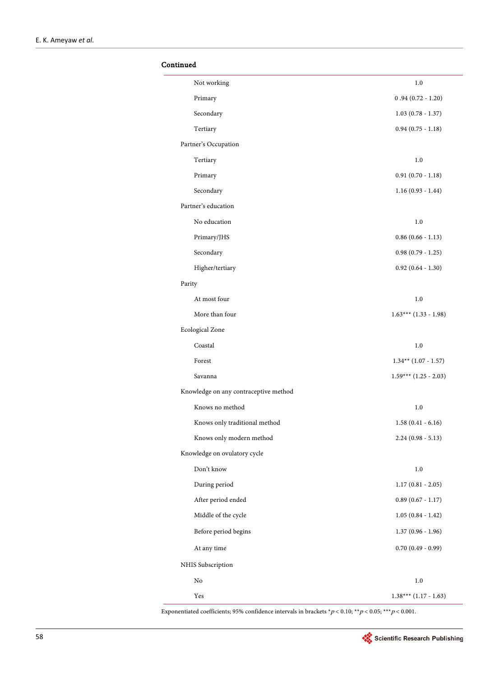## Continued

| Not working                           | 1.0                     |
|---------------------------------------|-------------------------|
| Primary                               | $0.94(0.72 - 1.20)$     |
| Secondary                             | $1.03(0.78 - 1.37)$     |
| Tertiary                              | $0.94$ $(0.75 - 1.18)$  |
| Partner's Occupation                  |                         |
| Tertiary                              | 1.0                     |
| Primary                               | $0.91(0.70 - 1.18)$     |
| Secondary                             | $1.16(0.93 - 1.44)$     |
| Partner's education                   |                         |
| No education                          | 1.0                     |
| Primary/JHS                           | $0.86$ $(0.66 - 1.13)$  |
| Secondary                             | $0.98$ $(0.79 - 1.25)$  |
| Higher/tertiary                       | $0.92$ $(0.64 - 1.30)$  |
| Parity                                |                         |
| At most four                          | 1.0                     |
| More than four                        | $1.63***$ (1.33 - 1.98) |
| <b>Ecological Zone</b>                |                         |
| Coastal                               | 1.0                     |
| Forest                                | $1.34**$ (1.07 - 1.57)  |
| Savanna                               | $1.59***$ (1.25 - 2.03) |
| Knowledge on any contraceptive method |                         |
| Knows no method                       | 1.0                     |
| Knows only traditional method         | $1.58(0.41 - 6.16)$     |
| Knows only modern method              | $2.24(0.98 - 5.13)$     |
| Knowledge on ovulatory cycle          |                         |
| Don't know                            | $1.0\,$                 |
| During period                         | $1.17(0.81 - 2.05)$     |
| After period ended                    | $0.89$ (0.67 - 1.17)    |
| Middle of the cycle                   | $1.05(0.84 - 1.42)$     |
| Before period begins                  | $1.37(0.96 - 1.96)$     |
| At any time                           | $0.70(0.49 - 0.99)$     |
| NHIS Subscription                     |                         |
| No                                    | 1.0                     |
| Yes                                   | $1.38***$ (1.17 - 1.63) |

Exponentiated coefficients; 95% confidence intervals in brackets  $^{\star}p$  < 0.10;  $^{\star\star}p$  < 0.05;  $^{\star\star\star}p$  < 0.001.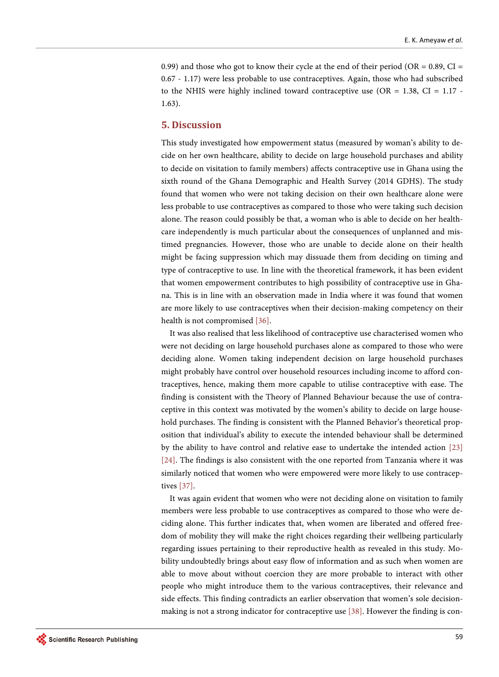0.99) and those who got to know their cycle at the end of their period (OR =  $0.89$ , CI = 0.67 - 1.17) were less probable to use contraceptives. Again, those who had subscribed to the NHIS were highly inclined toward contraceptive use  $(OR = 1.38, CI = 1.17 - 1.17)$ 1.63).

#### **5. Discussion**

This study investigated how empowerment status (measured by woman's ability to decide on her own healthcare, ability to decide on large household purchases and ability to decide on visitation to family members) affects contraceptive use in Ghana using the sixth round of the Ghana Demographic and Health Survey (2014 GDHS). The study found that women who were not taking decision on their own healthcare alone were less probable to use contraceptives as compared to those who were taking such decision alone. The reason could possibly be that, a woman who is able to decide on her healthcare independently is much particular about the consequences of unplanned and mistimed pregnancies. However, those who are unable to decide alone on their health might be facing suppression which may dissuade them from deciding on timing and type of contraceptive to use. In line with the theoretical framework, it has been evident that women empowerment contributes to high possibility of contraceptive use in Ghana. This is in line with an observation made in India where it was found that women are more likely to use contraceptives when their decision-making competency on their health is not compromised [\[36\].](#page-20-0)

It was also realised that less likelihood of contraceptive use characterised women who were not deciding on large household purchases alone as compared to those who were deciding alone. Women taking independent decision on large household purchases might probably have control over household resources including income to afford contraceptives, hence, making them more capable to utilise contraceptive with ease. The finding is consistent with the Theory of Planned Behaviour because the use of contraceptive in this context was motivated by the women's ability to decide on large household purchases. The finding is consistent with the Planned Behavior's theoretical proposition that individual's ability to execute the intended behaviour shall be determined by the ability to have control and relative ease to undertake the intended action [\[23\]](#page-19-5) [\[24\].](#page-19-6) The findings is also consistent with the one reported from Tanzania where it was similarly noticed that women who were empowered were more likely to use contraceptives [\[37\].](#page-20-1)

It was again evident that women who were not deciding alone on visitation to family members were less probable to use contraceptives as compared to those who were deciding alone. This further indicates that, when women are liberated and offered freedom of mobility they will make the right choices regarding their wellbeing particularly regarding issues pertaining to their reproductive health as revealed in this study. Mobility undoubtedly brings about easy flow of information and as such when women are able to move about without coercion they are more probable to interact with other people who might introduce them to the various contraceptives, their relevance and side effects. This finding contradicts an earlier observation that women's sole decisionmaking is not a strong indicator for contraceptive use [\[38\].](#page-20-2) However the finding is con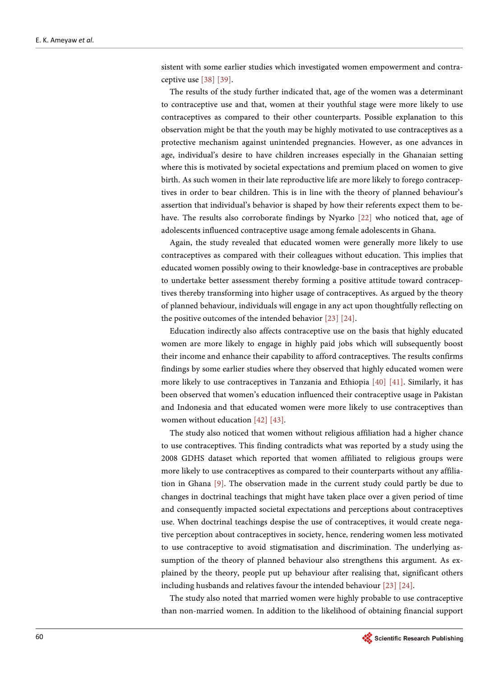sistent with some earlier studies which investigated women empowerment and contraceptive use [\[38\]](#page-20-2) [\[39\]](#page-20-3).

The results of the study further indicated that, age of the women was a determinant to contraceptive use and that, women at their youthful stage were more likely to use contraceptives as compared to their other counterparts. Possible explanation to this observation might be that the youth may be highly motivated to use contraceptives as a protective mechanism against unintended pregnancies. However, as one advances in age, individual's desire to have children increases especially in the Ghanaian setting where this is motivated by societal expectations and premium placed on women to give birth. As such women in their late reproductive life are more likely to forego contraceptives in order to bear children. This is in line with the theory of planned behaviour's assertion that individual's behavior is shaped by how their referents expect them to behave. The results also corroborate findings by Nyarko [\[22\]](#page-19-4) who noticed that, age of adolescents influenced contraceptive usage among female adolescents in Ghana.

Again, the study revealed that educated women were generally more likely to use contraceptives as compared with their colleagues without education. This implies that educated women possibly owing to their knowledge-base in contraceptives are probable to undertake better assessment thereby forming a positive attitude toward contraceptives thereby transforming into higher usage of contraceptives. As argued by the theory of planned behaviour, individuals will engage in any act upon thoughtfully reflecting on the positive outcomes of the intended behavio[r \[23\]](#page-19-5) [\[24\].](#page-19-6)

Education indirectly also affects contraceptive use on the basis that highly educated women are more likely to engage in highly paid jobs which will subsequently boost their income and enhance their capability to afford contraceptives. The results confirms findings by some earlier studies where they observed that highly educated women were more likely to use contraceptives in Tanzania and Ethiopia [\[40\]](#page-20-4) [\[41\].](#page-20-5) Similarly, it has been observed that women's education influenced their contraceptive usage in Pakistan and Indonesia and that educated women were more likely to use contraceptives than women without education [\[42\]](#page-20-6) [\[43\].](#page-20-7)

The study also noticed that women without religious affiliation had a higher chance to use contraceptives. This finding contradicts what was reported by a study using the 2008 GDHS dataset which reported that women affiliated to religious groups were more likely to use contraceptives as compared to their counterparts without any affiliation in Ghana [\[9\].](#page-18-8) The observation made in the current study could partly be due to changes in doctrinal teachings that might have taken place over a given period of time and consequently impacted societal expectations and perceptions about contraceptives use. When doctrinal teachings despise the use of contraceptives, it would create negative perception about contraceptives in society, hence, rendering women less motivated to use contraceptive to avoid stigmatisation and discrimination. The underlying assumption of the theory of planned behaviour also strengthens this argument. As explained by the theory, people put up behaviour after realising that, significant others including husbands and relatives favour the intended behaviou[r \[23\]](#page-19-5) [\[24\].](#page-19-6)

The study also noted that married women were highly probable to use contraceptive than non-married women. In addition to the likelihood of obtaining financial support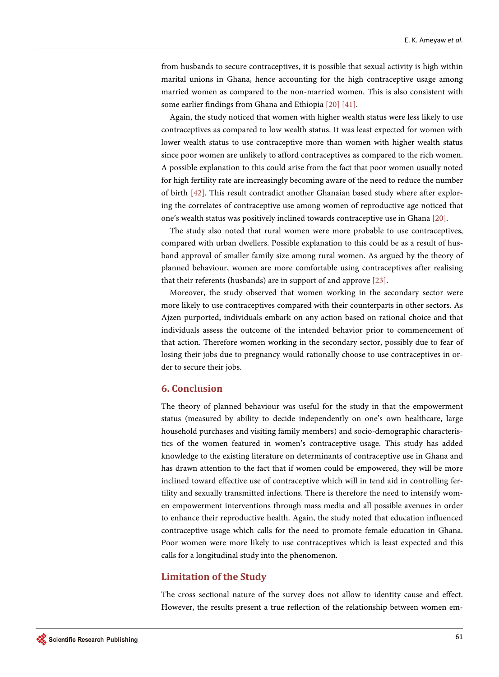from husbands to secure contraceptives, it is possible that sexual activity is high within marital unions in Ghana, hence accounting for the high contraceptive usage among married women as compared to the non-married women. This is also consistent with some earlier findings from Ghana and Ethiopi[a \[20\]](#page-19-2) [\[41\].](#page-20-5)

Again, the study noticed that women with higher wealth status were less likely to use contraceptives as compared to low wealth status. It was least expected for women with lower wealth status to use contraceptive more than women with higher wealth status since poor women are unlikely to afford contraceptives as compared to the rich women. A possible explanation to this could arise from the fact that poor women usually noted for high fertility rate are increasingly becoming aware of the need to reduce the number of birth [\[42\].](#page-20-6) This result contradict another Ghanaian based study where after exploring the correlates of contraceptive use among women of reproductive age noticed that one's wealth status was positively inclined towards contraceptive use in Ghana [\[20\].](#page-19-2)

The study also noted that rural women were more probable to use contraceptives, compared with urban dwellers. Possible explanation to this could be as a result of husband approval of smaller family size among rural women. As argued by the theory of planned behaviour, women are more comfortable using contraceptives after realising that their referents (husbands) are in support of and approve [\[23\].](#page-19-5)

Moreover, the study observed that women working in the secondary sector were more likely to use contraceptives compared with their counterparts in other sectors. As Ajzen purported, individuals embark on any action based on rational choice and that individuals assess the outcome of the intended behavior prior to commencement of that action. Therefore women working in the secondary sector, possibly due to fear of losing their jobs due to pregnancy would rationally choose to use contraceptives in order to secure their jobs.

## **6. Conclusion**

The theory of planned behaviour was useful for the study in that the empowerment status (measured by ability to decide independently on one's own healthcare, large household purchases and visiting family members) and socio-demographic characteristics of the women featured in women's contraceptive usage. This study has added knowledge to the existing literature on determinants of contraceptive use in Ghana and has drawn attention to the fact that if women could be empowered, they will be more inclined toward effective use of contraceptive which will in tend aid in controlling fertility and sexually transmitted infections. There is therefore the need to intensify women empowerment interventions through mass media and all possible avenues in order to enhance their reproductive health. Again, the study noted that education influenced contraceptive usage which calls for the need to promote female education in Ghana. Poor women were more likely to use contraceptives which is least expected and this calls for a longitudinal study into the phenomenon.

## **Limitation of the Study**

The cross sectional nature of the survey does not allow to identity cause and effect. However, the results present a true reflection of the relationship between women em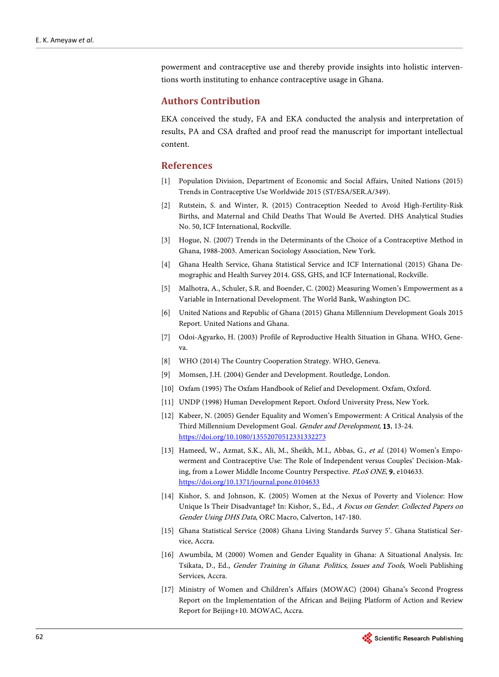powerment and contraceptive use and thereby provide insights into holistic interventions worth instituting to enhance contraceptive usage in Ghana.

# **Authors Contribution**

EKA conceived the study, FA and EKA conducted the analysis and interpretation of results, PA and CSA drafted and proof read the manuscript for important intellectual content.

## **References**

- <span id="page-18-0"></span>[1] Population Division, Department of Economic and Social Affairs, United Nations (2015) Trends in Contraceptive Use Worldwide 2015 (ST/ESA/SER.A/349).
- <span id="page-18-1"></span>[2] Rutstein, S. and Winter, R. (2015) Contraception Needed to Avoid High-Fertility-Risk Births, and Maternal and Child Deaths That Would Be Averted. DHS Analytical Studies No. 50, ICF International, Rockville.
- <span id="page-18-2"></span>[3] Hogue, N. (2007) Trends in the Determinants of the Choice of a Contraceptive Method in Ghana, 1988-2003. American Sociology Association, New York.
- <span id="page-18-3"></span>[4] Ghana Health Service, Ghana Statistical Service and ICF International (2015) Ghana Demographic and Health Survey 2014. GSS, GHS, and ICF International, Rockville.
- <span id="page-18-4"></span>[5] Malhotra, A., Schuler, S.R. and Boender, C. (2002) Measuring Women's Empowerment as a Variable in International Development. The World Bank, Washington DC.
- <span id="page-18-5"></span>[6] United Nations and Republic of Ghana (2015) Ghana Millennium Development Goals 2015 Report. United Nations and Ghana.
- <span id="page-18-6"></span>[7] Odoi-Agyarko, H. (2003) Profile of Reproductive Health Situation in Ghana. WHO, Geneva.
- <span id="page-18-7"></span>[8] WHO (2014) The Country Cooperation Strategy. WHO, Geneva.
- <span id="page-18-8"></span>[9] Momsen, J.H. (2004) Gender and Development. Routledge, London.
- <span id="page-18-9"></span>[10] Oxfam (1995) The Oxfam Handbook of Relief and Development. Oxfam, Oxford.
- <span id="page-18-10"></span>[11] UNDP (1998) Human Development Report. Oxford University Press, New York.
- <span id="page-18-11"></span>[12] Kabeer, N. (2005) Gender Equality and Women's Empowerment: A Critical Analysis of the Third Millennium Development Goal. Gender and Development, 13, 13-24. <https://doi.org/10.1080/13552070512331332273>
- <span id="page-18-12"></span>[13] Hameed, W., Azmat, S.K., Ali, M., Sheikh, M.I., Abbas, G., et al. (2014) Women's Empowerment and Contraceptive Use: The Role of Independent versus Couples' Decision-Making, from a Lower Middle Income Country Perspective. PLoS ONE, 9, e104633. <https://doi.org/10.1371/journal.pone.0104633>
- <span id="page-18-13"></span>[14] Kishor, S. and Johnson, K. (2005) Women at the Nexus of Poverty and Violence: How Unique Is Their Disadvantage? In: Kishor, S., Ed., A Focus on Gender: Collected Papers on Gender Using DHS Data, ORC Macro, Calverton, 147-180.
- <span id="page-18-14"></span>[15] Ghana Statistical Service (2008) Ghana Living Standards Survey 5'. Ghana Statistical Service, Accra.
- <span id="page-18-15"></span>[16] Awumbila, M (2000) Women and Gender Equality in Ghana: A Situational Analysis. In: Tsikata, D., Ed., Gender Training in Ghana: Politics, Issues and Tools, Woeli Publishing Services, Accra.
- <span id="page-18-16"></span>[17] Ministry of Women and Children's Affairs (MOWAC) (2004) Ghana's Second Progress Report on the Implementation of the African and Beijing Platform of Action and Review Report for Beijing+10. MOWAC, Accra.

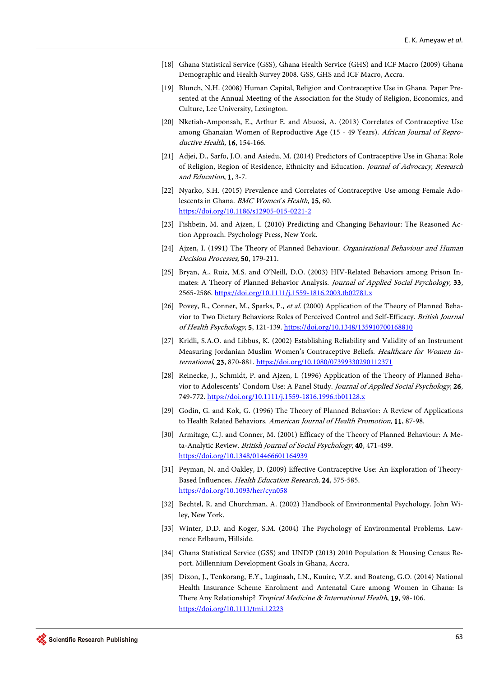- <span id="page-19-0"></span>[18] Ghana Statistical Service (GSS), Ghana Health Service (GHS) and ICF Macro (2009) Ghana Demographic and Health Survey 2008. GSS, GHS and ICF Macro, Accra.
- <span id="page-19-1"></span>[19] Blunch, N.H. (2008) Human Capital, Religion and Contraceptive Use in Ghana. Paper Presented at the Annual Meeting of the Association for the Study of Religion, Economics, and Culture, Lee University, Lexington.
- <span id="page-19-2"></span>[20] Nketiah-Amponsah, E., Arthur E. and Abuosi, A. (2013) Correlates of Contraceptive Use among Ghanaian Women of Reproductive Age (15 - 49 Years). African Journal of Reproductive Health, 16, 154-166.
- <span id="page-19-3"></span>[21] Adjei, D., Sarfo, J.O. and Asiedu, M. (2014) Predictors of Contraceptive Use in Ghana: Role of Religion, Region of Residence, Ethnicity and Education. Journal of Advocacy, Research and Education, 1, 3-7.
- <span id="page-19-4"></span>[22] Nyarko, S.H. (2015) Prevalence and Correlates of Contraceptive Use among Female Adolescents in Ghana. BMC Women's Health, 15, 60. <https://doi.org/10.1186/s12905-015-0221-2>
- <span id="page-19-5"></span>[23] Fishbein, M. and Ajzen, I. (2010) Predicting and Changing Behaviour: The Reasoned Action Approach. Psychology Press, New York.
- <span id="page-19-6"></span>[24] Ajzen, I. (1991) The Theory of Planned Behaviour. Organisational Behaviour and Human Decision Processes, 50, 179-211.
- <span id="page-19-7"></span>[25] Bryan, A., Ruiz, M.S. and O'Neill, D.O. (2003) HIV-Related Behaviors among Prison Inmates: A Theory of Planned Behavior Analysis. Journal of Applied Social Psychology, 33, 2565-2586[. https://doi.org/10.1111/j.1559-1816.2003.tb02781.x](https://doi.org/10.1111/j.1559-1816.2003.tb02781.x)
- <span id="page-19-8"></span>[26] Povey, R., Conner, M., Sparks, P., et al. (2000) Application of the Theory of Planned Behavior to Two Dietary Behaviors: Roles of Perceived Control and Self-Efficacy. British Journal of Health Psychology, 5, 121-139. <https://doi.org/10.1348/135910700168810>
- [27] Kridli, S.A.O. and Libbus, K. (2002) Establishing Reliability and Validity of an Instrument Measuring Jordanian Muslim Women's Contraceptive Beliefs. Healthcare for Women International, 23, 870-881. <https://doi.org/10.1080/07399330290112371>
- <span id="page-19-9"></span>[28] Reinecke, J., Schmidt, P. and Ajzen, I. (1996) Application of the Theory of Planned Behavior to Adolescents' Condom Use: A Panel Study. Journal of Applied Social Psychology, 26, 749-772. <https://doi.org/10.1111/j.1559-1816.1996.tb01128.x>
- <span id="page-19-10"></span>[29] Godin, G. and Kok, G. (1996) The Theory of Planned Behavior: A Review of Applications to Health Related Behaviors. American Journal of Health Promotion, 11, 87-98.
- <span id="page-19-11"></span>[30] Armitage, C.J. and Conner, M. (2001) Efficacy of the Theory of Planned Behaviour: A Meta-Analytic Review. British Journal of Social Psychology, 40, 471-499. <https://doi.org/10.1348/014466601164939>
- <span id="page-19-12"></span>[31] Peyman, N. and Oakley, D. (2009) Effective Contraceptive Use: An Exploration of Theory-Based Influences. Health Education Research, 24, 575-585. <https://doi.org/10.1093/her/cyn058>
- <span id="page-19-13"></span>[32] Bechtel, R. and Churchman, A. (2002) Handbook of Environmental Psychology. John Wiley, New York.
- <span id="page-19-14"></span>[33] Winter, D.D. and Koger, S.M. (2004) The Psychology of Environmental Problems. Lawrence Erlbaum, Hillside.
- <span id="page-19-15"></span>[34] Ghana Statistical Service (GSS) and UNDP (2013) 2010 Population & Housing Census Report. Millennium Development Goals in Ghana, Accra.
- <span id="page-19-16"></span>[35] Dixon, J., Tenkorang, E.Y., Luginaah, I.N., Kuuire, V.Z. and Boateng, G.O. (2014) National Health Insurance Scheme Enrolment and Antenatal Care among Women in Ghana: Is There Any Relationship? Tropical Medicine & International Health, 19, 98-106. <https://doi.org/10.1111/tmi.12223>